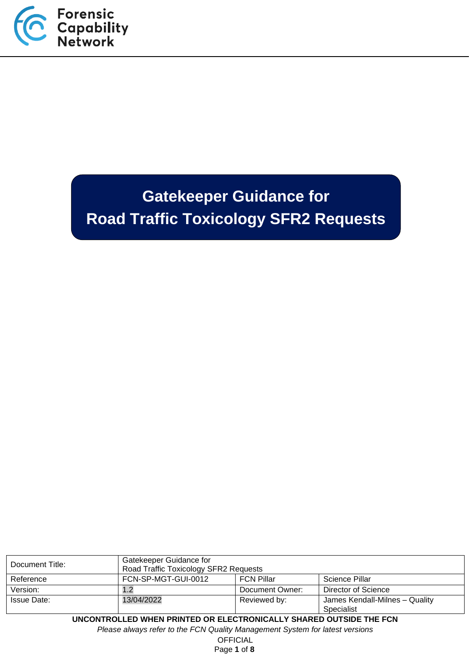

# **Gatekeeper Guidance for Road Traffic Toxicology SFR2 Requests**

| Document Title:                                                              | Gatekeeper Guidance for<br>Road Traffic Toxicology SFR2 Requests           |                 |                     |  |
|------------------------------------------------------------------------------|----------------------------------------------------------------------------|-----------------|---------------------|--|
| Reference                                                                    | FCN-SP-MGT-GUI-0012<br><b>FCN Pillar</b><br>Science Pillar                 |                 |                     |  |
| Version:                                                                     | 1.2                                                                        | Document Owner: | Director of Science |  |
| <b>Issue Date:</b>                                                           | 13/04/2022<br>Reviewed by:<br>James Kendall-Milnes - Quality<br>Specialist |                 |                     |  |
| UNCONTROLLED WHEN PRINTED OR ELECTRONICALLY SHARED OUTSIDE THE FCN           |                                                                            |                 |                     |  |
| Please always refer to the FCN Quality Management System for latest versions |                                                                            |                 |                     |  |

**OFFICIAL** 

Page **1** of **8**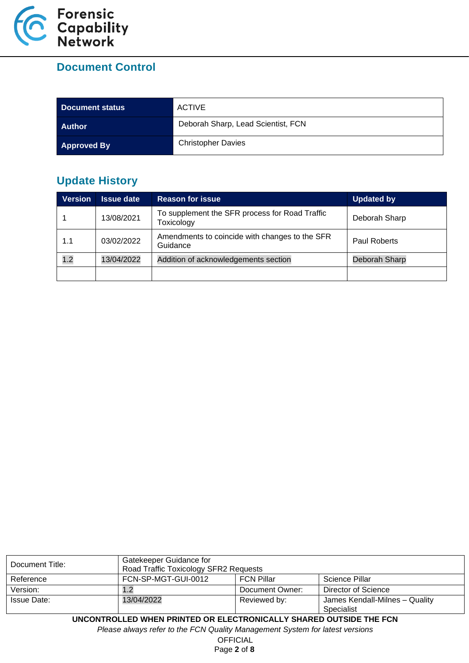

# **Document Control**

| Document status    | <b>ACTIVE</b>                      |
|--------------------|------------------------------------|
| <b>Author</b>      | Deborah Sharp, Lead Scientist, FCN |
| <b>Approved By</b> | <b>Christopher Davies</b>          |

# **Update History**

| <b>Version</b> | <b>Issue date</b> | <b>Reason for issue</b>                                      | <b>Updated by</b> |
|----------------|-------------------|--------------------------------------------------------------|-------------------|
|                | 13/08/2021        | To supplement the SFR process for Road Traffic<br>Toxicology | Deborah Sharp     |
| 1.1            | 03/02/2022        | Amendments to coincide with changes to the SFR<br>Guidance   | Paul Roberts      |
| 1.2            | 13/04/2022        | Addition of acknowledgements section                         | Deborah Sharp     |
|                |                   |                                                              |                   |

| Document Title:                                                              | Gatekeeper Guidance for<br>Road Traffic Toxicology SFR2 Requests |                 |                                              |  |
|------------------------------------------------------------------------------|------------------------------------------------------------------|-----------------|----------------------------------------------|--|
| Reference                                                                    | FCN-SP-MGT-GUI-0012<br>Science Pillar<br><b>FCN Pillar</b>       |                 |                                              |  |
| Version:                                                                     | 1.2                                                              | Document Owner: | Director of Science                          |  |
| Issue Date:                                                                  | 13/04/2022                                                       | Reviewed by:    | James Kendall-Milnes - Quality<br>Specialist |  |
| UNCONTROLLED WHEN PRINTED OR ELECTRONICALLY SHARED OUTSIDE THE FCN           |                                                                  |                 |                                              |  |
| Please always refer to the FCN Quality Management System for latest versions |                                                                  |                 |                                              |  |

OFFICIAL

Page **2** of **8**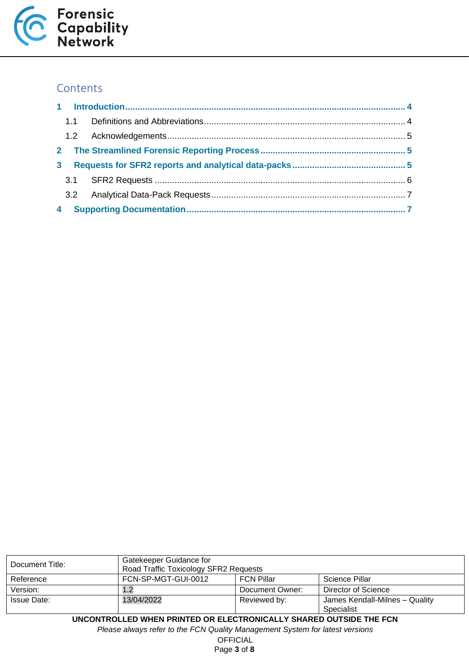

# **Contents**

| $\mathbf{3}$ |  |  |  |  |  |
|--------------|--|--|--|--|--|
|              |  |  |  |  |  |
|              |  |  |  |  |  |
| 4            |  |  |  |  |  |

| Document Title:                                                              | Gatekeeper Guidance for<br>Road Traffic Toxicology SFR2 Requests |                 |                                              |
|------------------------------------------------------------------------------|------------------------------------------------------------------|-----------------|----------------------------------------------|
| Reference                                                                    | FCN-SP-MGT-GUI-0012<br><b>FCN Pillar</b><br>Science Pillar       |                 |                                              |
| Version:                                                                     | 1.2                                                              | Document Owner: | <b>Director of Science</b>                   |
| <b>Issue Date:</b>                                                           | 13/04/2022                                                       | Reviewed by:    | James Kendall-Milnes - Quality<br>Specialist |
| UNCONTROLLED WHEN PRINTED OR ELECTRONICALLY SHARED OUTSIDE THE FCN           |                                                                  |                 |                                              |
| Please always refer to the FCN Quality Management System for latest versions |                                                                  |                 |                                              |

OFFICIAL

Page **3** of **8**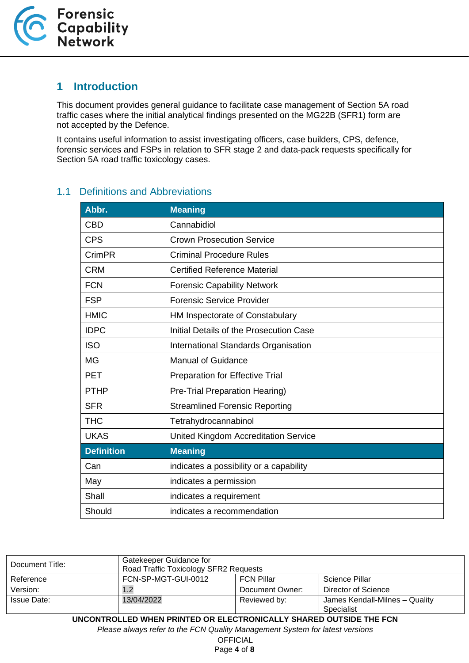

## <span id="page-3-0"></span>**1 Introduction**

This document provides general guidance to facilitate case management of Section 5A road traffic cases where the initial analytical findings presented on the MG22B (SFR1) form are not accepted by the Defence.

It contains useful information to assist investigating officers, case builders, CPS, defence, forensic services and FSPs in relation to SFR stage 2 and data-pack requests specifically for Section 5A road traffic toxicology cases.

| Abbr.             | <b>Meaning</b>                              |
|-------------------|---------------------------------------------|
| <b>CBD</b>        | Cannabidiol                                 |
| <b>CPS</b>        | <b>Crown Prosecution Service</b>            |
| CrimPR            | <b>Criminal Procedure Rules</b>             |
| <b>CRM</b>        | <b>Certified Reference Material</b>         |
| <b>FCN</b>        | <b>Forensic Capability Network</b>          |
| <b>FSP</b>        | <b>Forensic Service Provider</b>            |
| <b>HMIC</b>       | HM Inspectorate of Constabulary             |
| <b>IDPC</b>       | Initial Details of the Prosecution Case     |
| <b>ISO</b>        | International Standards Organisation        |
| <b>MG</b>         | <b>Manual of Guidance</b>                   |
| <b>PET</b>        | <b>Preparation for Effective Trial</b>      |
| <b>PTHP</b>       | Pre-Trial Preparation Hearing)              |
| <b>SFR</b>        | <b>Streamlined Forensic Reporting</b>       |
| <b>THC</b>        | Tetrahydrocannabinol                        |
| <b>UKAS</b>       | <b>United Kingdom Accreditation Service</b> |
| <b>Definition</b> | <b>Meaning</b>                              |
| Can               | indicates a possibility or a capability     |
| May               | indicates a permission                      |
| Shall             | indicates a requirement                     |
| Should            | indicates a recommendation                  |

#### <span id="page-3-1"></span>1.1 Definitions and Abbreviations

| Document Title:                                                              | Gatekeeper Guidance for<br>Road Traffic Toxicology SFR2 Requests |                 |                                              |
|------------------------------------------------------------------------------|------------------------------------------------------------------|-----------------|----------------------------------------------|
| Reference                                                                    | FCN-SP-MGT-GUI-0012<br><b>FCN Pillar</b><br>Science Pillar       |                 |                                              |
| Version:                                                                     | 1.2                                                              | Document Owner: | <b>Director of Science</b>                   |
| <b>Issue Date:</b>                                                           | 13/04/2022                                                       | Reviewed by:    | James Kendall-Milnes - Quality<br>Specialist |
| UNCONTROLLED WHEN PRINTED OR ELECTRONICALLY SHARED OUTSIDE THE FCN           |                                                                  |                 |                                              |
| Please always refer to the FCN Quality Management System for latest versions |                                                                  |                 |                                              |

**OFFICIAL** 

Page **4** of **8**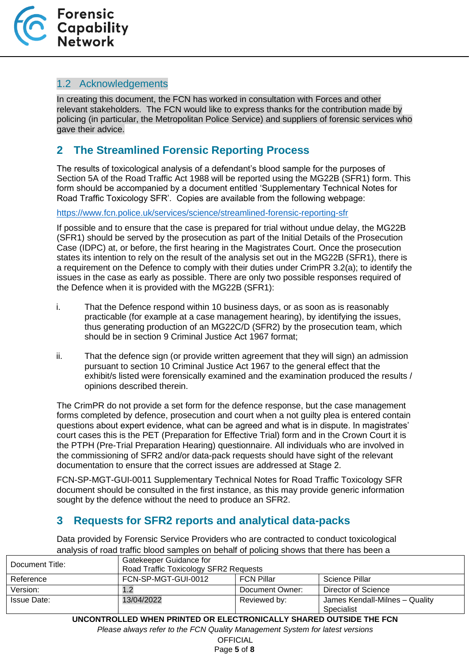

#### <span id="page-4-0"></span>1.2 Acknowledgements

In creating this document, the FCN has worked in consultation with Forces and other relevant stakeholders. The FCN would like to express thanks for the contribution made by policing (in particular, the Metropolitan Police Service) and suppliers of forensic services who gave their advice.

# <span id="page-4-1"></span>**2 The Streamlined Forensic Reporting Process**

The results of toxicological analysis of a defendant's blood sample for the purposes of Section 5A of the Road Traffic Act 1988 will be reported using the MG22B (SFR1) form. This form should be accompanied by a document entitled 'Supplementary Technical Notes for Road Traffic Toxicology SFR'. Copies are available from the following webpage:

<https://www.fcn.police.uk/services/science/streamlined-forensic-reporting-sfr>

If possible and to ensure that the case is prepared for trial without undue delay, the MG22B (SFR1) should be served by the prosecution as part of the Initial Details of the Prosecution Case (IDPC) at, or before, the first hearing in the Magistrates Court. Once the prosecution states its intention to rely on the result of the analysis set out in the MG22B (SFR1), there is a requirement on the Defence to comply with their duties under CrimPR 3.2(a); to identify the issues in the case as early as possible. There are only two possible responses required of the Defence when it is provided with the MG22B (SFR1):

- i. That the Defence respond within 10 business days, or as soon as is reasonably practicable (for example at a case management hearing), by identifying the issues, thus generating production of an MG22C/D (SFR2) by the prosecution team, which should be in section 9 Criminal Justice Act 1967 format;
- ii. That the defence sign (or provide written agreement that they will sign) an admission pursuant to section 10 Criminal Justice Act 1967 to the general effect that the exhibit/s listed were forensically examined and the examination produced the results / opinions described therein.

The CrimPR do not provide a set form for the defence response, but the case management forms completed by defence, prosecution and court when a not guilty plea is entered contain questions about expert evidence, what can be agreed and what is in dispute. In magistrates' court cases this is the PET (Preparation for Effective Trial) form and in the Crown Court it is the PTPH (Pre-Trial Preparation Hearing) questionnaire. All individuals who are involved in the commissioning of SFR2 and/or data-pack requests should have sight of the relevant documentation to ensure that the correct issues are addressed at Stage 2.

FCN-SP-MGT-GUI-0011 Supplementary Technical Notes for Road Traffic Toxicology SFR document should be consulted in the first instance, as this may provide generic information sought by the defence without the need to produce an SFR2.

# <span id="page-4-2"></span>**3 Requests for SFR2 reports and analytical data-packs**

Data provided by Forensic Service Providers who are contracted to conduct toxicological analysis of road traffic blood samples on behalf of policing shows that there has been a

| Document Title:    | Gatekeeper Guidance for<br>Road Traffic Toxicology SFR2 Requests |                 |                                |
|--------------------|------------------------------------------------------------------|-----------------|--------------------------------|
| Reference          | FCN-SP-MGT-GUI-0012<br><b>FCN Pillar</b><br>Science Pillar       |                 |                                |
| Version:           | 1.2                                                              | Document Owner: | Director of Science            |
| <b>Issue Date:</b> | 13/04/2022                                                       | Reviewed by:    | James Kendall-Milnes - Quality |
|                    |                                                                  |                 | Specialist                     |

**UNCONTROLLED WHEN PRINTED OR ELECTRONICALLY SHARED OUTSIDE THE FCN**

*Please always refer to the FCN Quality Management System for latest versions*

**OFFICIAL** 

Page **5** of **8**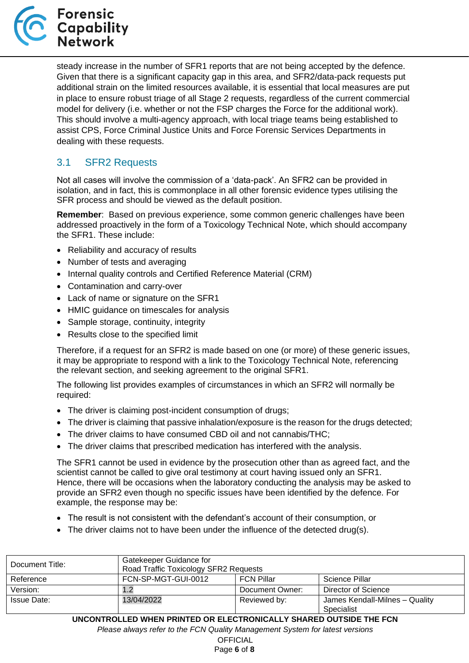

steady increase in the number of SFR1 reports that are not being accepted by the defence. Given that there is a significant capacity gap in this area, and SFR2/data-pack requests put additional strain on the limited resources available, it is essential that local measures are put in place to ensure robust triage of all Stage 2 requests, regardless of the current commercial model for delivery (i.e. whether or not the FSP charges the Force for the additional work). This should involve a multi-agency approach, with local triage teams being established to assist CPS, Force Criminal Justice Units and Force Forensic Services Departments in dealing with these requests.

## <span id="page-5-0"></span>3.1 SFR2 Requests

Not all cases will involve the commission of a 'data-pack'. An SFR2 can be provided in isolation, and in fact, this is commonplace in all other forensic evidence types utilising the SFR process and should be viewed as the default position.

**Remember**: Based on previous experience, some common generic challenges have been addressed proactively in the form of a Toxicology Technical Note, which should accompany the SFR1. These include:

- Reliability and accuracy of results
- Number of tests and averaging
- Internal quality controls and Certified Reference Material (CRM)
- Contamination and carry-over
- Lack of name or signature on the SFR1
- HMIC guidance on timescales for analysis
- Sample storage, continuity, integrity
- Results close to the specified limit

Therefore, if a request for an SFR2 is made based on one (or more) of these generic issues, it may be appropriate to respond with a link to the Toxicology Technical Note, referencing the relevant section, and seeking agreement to the original SFR1.

The following list provides examples of circumstances in which an SFR2 will normally be required:

- The driver is claiming post-incident consumption of drugs;
- The driver is claiming that passive inhalation/exposure is the reason for the drugs detected;
- The driver claims to have consumed CBD oil and not cannabis/THC;
- The driver claims that prescribed medication has interfered with the analysis.

The SFR1 cannot be used in evidence by the prosecution other than as agreed fact, and the scientist cannot be called to give oral testimony at court having issued only an SFR1. Hence, there will be occasions when the laboratory conducting the analysis may be asked to provide an SFR2 even though no specific issues have been identified by the defence. For example, the response may be:

- The result is not consistent with the defendant's account of their consumption, or
- The driver claims not to have been under the influence of the detected drug(s).

| Document Title:                                                    | Gatekeeper Guidance for<br>Road Traffic Toxicology SFR2 Requests |                 |                                              |  |
|--------------------------------------------------------------------|------------------------------------------------------------------|-----------------|----------------------------------------------|--|
| Reference                                                          | FCN-SP-MGT-GUI-0012<br><b>FCN Pillar</b><br>Science Pillar       |                 |                                              |  |
| Version:                                                           | 1.2                                                              | Document Owner: | Director of Science                          |  |
| <b>Issue Date:</b>                                                 | 13/04/2022                                                       | Reviewed by:    | James Kendall-Milnes - Quality<br>Specialist |  |
| UNCONTROLLED WHEN PRINTED OR ELECTRONICALLY SHARED OUTSIDE THE FCN |                                                                  |                 |                                              |  |

*Please always refer to the FCN Quality Management System for latest versions*

**OFFICIAL** 

Page **6** of **8**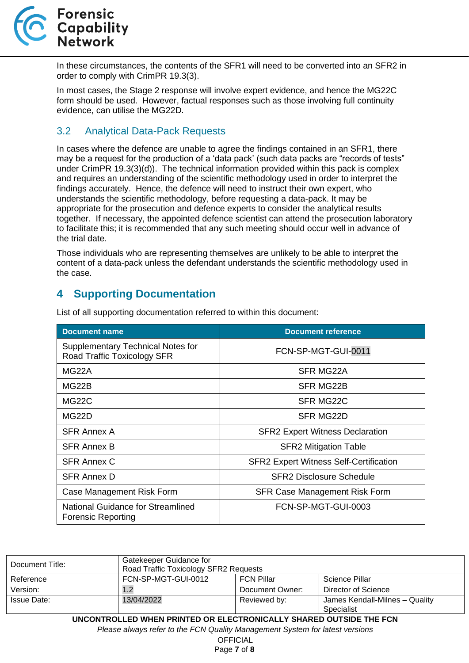

In these circumstances, the contents of the SFR1 will need to be converted into an SFR2 in order to comply with CrimPR 19.3(3).

In most cases, the Stage 2 response will involve expert evidence, and hence the MG22C form should be used. However, factual responses such as those involving full continuity evidence, can utilise the MG22D.

## <span id="page-6-0"></span>3.2 Analytical Data-Pack Requests

In cases where the defence are unable to agree the findings contained in an SFR1, there may be a request for the production of a 'data pack' (such data packs are "records of tests" under CrimPR 19.3(3)(d)). The technical information provided within this pack is complex and requires an understanding of the scientific methodology used in order to interpret the findings accurately. Hence, the defence will need to instruct their own expert, who understands the scientific methodology, before requesting a data-pack. It may be appropriate for the prosecution and defence experts to consider the analytical results together. If necessary, the appointed defence scientist can attend the prosecution laboratory to facilitate this; it is recommended that any such meeting should occur well in advance of the trial date.

Those individuals who are representing themselves are unlikely to be able to interpret the content of a data-pack unless the defendant understands the scientific methodology used in the case.

# <span id="page-6-1"></span>**4 Supporting Documentation**

| <b>Document name</b>                                             | <b>Document reference</b>                     |
|------------------------------------------------------------------|-----------------------------------------------|
| Supplementary Technical Notes for<br>Road Traffic Toxicology SFR | FCN-SP-MGT-GUI-0011                           |
| MG22A                                                            | <b>SFR MG22A</b>                              |
| MG22B                                                            | SFR MG22B                                     |
| MG22C                                                            | SFR MG22C                                     |
| MG22D                                                            | <b>SFR MG22D</b>                              |
| SFR Annex A                                                      | <b>SFR2 Expert Witness Declaration</b>        |
| <b>SFR Annex B</b>                                               | <b>SFR2 Mitigation Table</b>                  |
| <b>SFR Annex C</b>                                               | <b>SFR2 Expert Witness Self-Certification</b> |
| <b>SFR Annex D</b>                                               | <b>SFR2 Disclosure Schedule</b>               |
| Case Management Risk Form                                        | <b>SFR Case Management Risk Form</b>          |
| National Guidance for Streamlined<br><b>Forensic Reporting</b>   | FCN-SP-MGT-GUI-0003                           |

List of all supporting documentation referred to within this document:

| Document Title:                                                              | Gatekeeper Guidance for<br>Road Traffic Toxicology SFR2 Requests |                   |                                              |  |
|------------------------------------------------------------------------------|------------------------------------------------------------------|-------------------|----------------------------------------------|--|
| Reference                                                                    | FCN-SP-MGT-GUI-0012                                              | <b>FCN Pillar</b> | Science Pillar                               |  |
| Version:                                                                     | 1.2                                                              | Document Owner:   | <b>Director of Science</b>                   |  |
| <b>Issue Date:</b>                                                           | 13/04/2022                                                       | Reviewed by:      | James Kendall-Milnes - Quality<br>Specialist |  |
| UNCONTROLLED WHEN PRINTED OR ELECTRONICALLY SHARED OUTSIDE THE FCN           |                                                                  |                   |                                              |  |
| Please always refer to the FCN Quality Management System for latest versions |                                                                  |                   |                                              |  |
| <b>OFFICIAL</b>                                                              |                                                                  |                   |                                              |  |

Page **7** of **8**